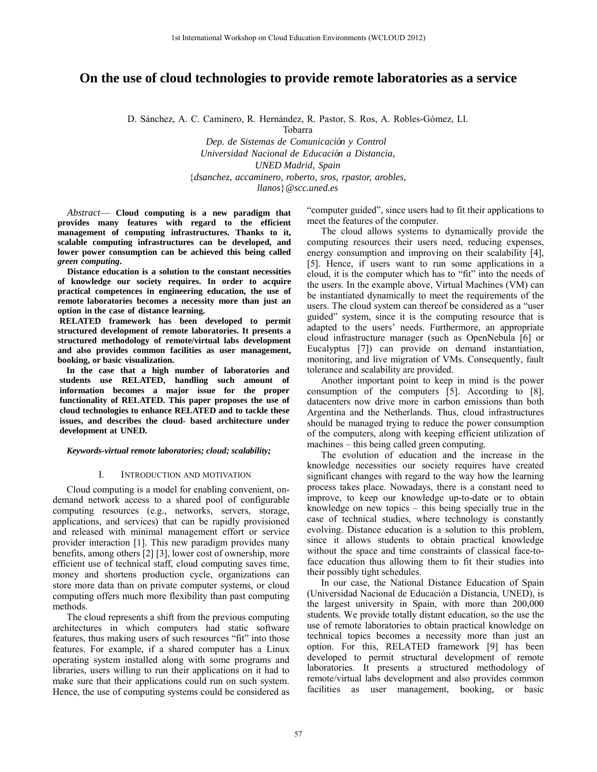# **On the use of cloud technologies to provide remote laboratories as a service**

D. Sánchez, A. C. Caminero, R. Hernández, R. Pastor, S. Ros, A. Robles-Gómez, Ll.

Tobarra

*Dep. de Sistemas de Comunicacio´n y Control Universidad Nacional de Educacio´n a Distancia, UNED Madrid, Spain* {*dsanchez, accaminero, roberto, sros, rpastor, arobles, llanos*}*[@scc.uned.es](mailto:@scc.uned.es)*

*Abstract*— **Cloud computing is a new paradigm that provides many features with regard to the efficient management of computing infrastructures. Thanks to it, scalable computing infrastructures can be developed, and lower power consumption can be achieved this being called** *green computing***.**

**Distance education is a solution to the constant necessities of knowledge our society requires. In order to acquire practical competences in engineering education, the use of remote laboratories becomes a necessity more than just an option in the case of distance learning.**

**RELATED framework has been developed to permit structured development of remote laboratories. It presents a structured methodology of remote/virtual labs development and also provides common facilities as user management, booking, or basic visualization.**

**In the case that a high number of laboratories and students use RELATED, handling such amount of information becomes a major issue for the proper functionality of RELATED. This paper proposes the use of cloud technologies to enhance RELATED and to tackle these issues, and describes the cloud- based architecture under development at UNED.** 

*Keywords-virtual remote laboratories; cloud; scalability;*

## I. INTRODUCTION AND MOTIVATION

Cloud computing is a model for enabling convenient, ondemand network access to a shared pool of configurable computing resources (e.g., networks, servers, storage, applications, and services) that can be rapidly provisioned and released with minimal management effort or service provider interaction [1]. This new paradigm provides many benefits, among others [2] [3], lower cost of ownership, more efficient use of technical staff, cloud computing saves time, money and shortens production cycle, organizations can store more data than on private computer systems, or cloud computing offers much more flexibility than past computing methods.

The cloud represents a shift from the previous computing architectures in which computers had static software features, thus making users of such resources "fit" into those features. For example, if a shared computer has a Linux operating system installed along with some programs and libraries, users willing to run their applications on it had to make sure that their applications could run on such system. Hence, the use of computing systems could be considered as

"computer guided", since users had to fit their applications to meet the features of the computer.

The cloud allows systems to dynamically provide the computing resources their users need, reducing expenses, energy consumption and improving on their scalability [4], [5]. Hence, if users want to run some applications in a cloud, it is the computer which has to "fit" into the needs of the users. In the example above, Virtual Machines (VM) can be instantiated dynamically to meet the requirements of the users. The cloud system can thereof be considered as a "user guided" system, since it is the computing resource that is adapted to the users' needs. Furthermore, an appropriate cloud infrastructure manager (such as OpenNebula [6] or Eucalyptus [7]) can provide on demand instantiation, monitoring, and live migration of VMs. Consequently, fault tolerance and scalability are provided.

Another important point to keep in mind is the power consumption of the computers [5]. According to [8], datacenters now drive more in carbon emissions than both Argentina and the Netherlands. Thus, cloud infrastructures should be managed trying to reduce the power consumption of the computers, along with keeping efficient utilization of machines – this being called green computing.

The evolution of education and the increase in the knowledge necessities our society requires have created significant changes with regard to the way how the learning process takes place. Nowadays, there is a constant need to improve, to keep our knowledge up-to-date or to obtain knowledge on new topics – this being specially true in the case of technical studies, where technology is constantly evolving. Distance education is a solution to this problem, since it allows students to obtain practical knowledge without the space and time constraints of classical face-toface education thus allowing them to fit their studies into their possibly tight schedules.

In our case, the National Distance Education of Spain (Universidad Nacional de Educación a Distancia, UNED), is the largest university in Spain, with more than 200,000 students. We provide totally distant education, so the use the use of remote laboratories to obtain practical knowledge on technical topics becomes a necessity more than just an option. For this, RELATED framework [9] has been developed to permit structural development of remote laboratories. It presents a structured methodology of remote/virtual labs development and also provides common facilities as user management, booking, or basic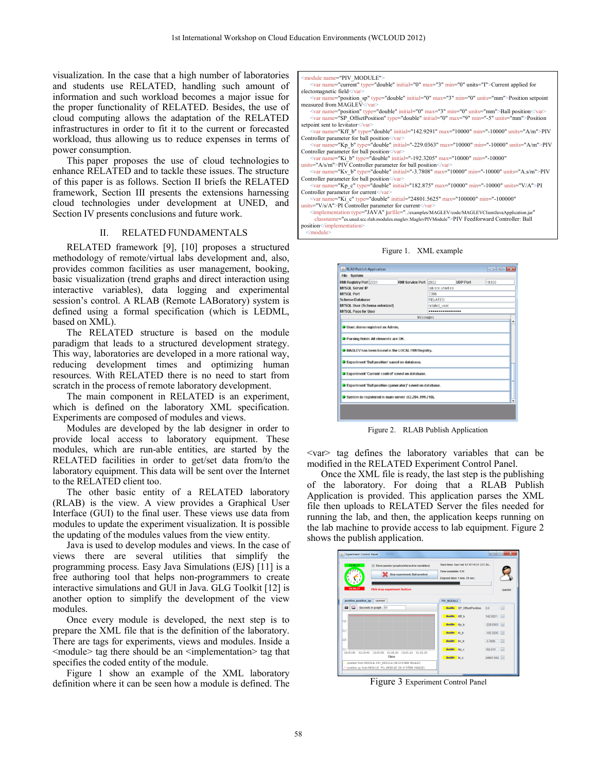visualization. In the case that a high number of laboratories and students use RELATED, handling such amount of information and such workload becomes a major issue for the proper functionality of RELATED. Besides, the use of cloud computing allows the adaptation of the RELATED infrastructures in order to fit it to the current or forecasted workload, thus allowing us to reduce expenses in terms of power consumption.

This paper proposes the use of cloud technologies to enhance RELATED and to tackle these issues. The structure of this paper is as follows. Section II briefs the RELATED framework, Section III presents the extensions harnessing cloud technologies under development at UNED, and Section IV presents conclusions and future work.

## II. RELATED FUNDAMENTALS

RELATED framework [9], [10] proposes a structured methodology of remote/virtual labs development and, also, provides common facilities as user management, booking, basic visualization (trend graphs and direct interaction using interactive variables), data logging and experimental session's control. A RLAB (Remote LABoratory) system is defined using a formal specification (which is LEDML, based on XML).

The RELATED structure is based on the module paradigm that leads to a structured development strategy. This way, laboratories are developed in a more rational way, reducing development times and optimizing human resources. With RELATED there is no need to start from scratch in the process of remote laboratory development.

The main component in RELATED is an experiment, which is defined on the laboratory XML specification. Experiments are composed of modules and views.

Modules are developed by the lab designer in order to provide local access to laboratory equipment. These modules, which are run-able entities, are started by the RELATED facilities in order to get/set data from/to the laboratory equipment. This data will be sent over the Internet to the RELATED client too.

The other basic entity of a RELATED laboratory (RLAB) is the view. A view provides a Graphical User Interface (GUI) to the final user. These views use data from modules to update the experiment visualization. It is possible the updating of the modules values from the view entity.

Java is used to develop modules and views. In the case of views there are several utilities that simplify the programming process. Easy Java Simulations (EJS) [11] is a free authoring tool that helps non-programmers to create interactive simulations and GUI in Java. GLG Toolkit [12] is another option to simplify the development of the view modules.

Once every module is developed, the next step is to prepare the XML file that is the definition of the laboratory. There are tags for experiments, views and modules. Inside a  $\leq$  module $\geq$  tag there should be an  $\leq$  implementation $\geq$  tag that specifies the coded entity of the module.

Figure 1 show an example of the XML laboratory definition where it can be seen how a module is defined. The module name="PIV\_MODULE"

- <var name="current" type="double" initial="0" max="3" min="0" units="I">Current applied for electomagnetic field</var>
- <var name="position\_sp" type="double" initial="0" max="3" min="0" units="mm">Position setpoint measured from MAGLEV</var><br>
<var name="position" type="double" initial="0" max="3" min="0" units="mm">Ball position</var>
- <var name="SP\_OffsetPosition" type="double" initial="0" max="9" min="-5" units="mm">Position setpoint sent to levitator</var>
- <var name="Kff\_b" type="double" initial="142.9291" max="10000" min="-10000" units="A/m">PIV
- Controller parameter for ball position</var><br>
<var name="Kp\_b" type="double" initial="-229.0363" max="10000" min="-10000" units="A/m">PIV Controller parameter for ball position</var>
- me="Ki\_b" type="double" initial="-192.3205" max="10000" min="-10000"  $units="A/s/m" > PIV$  Controller parameter for ball position $\lt$ /var>
- var name="Kv\_b" type="double" initial="-3.7808" max="10000" min="-10000" units="A.s/m">PIV Controller parameter for ball position</var>
- <var name="Kp\_c" type="double" initial="182.875" max="10000" min="-10000" units="V/A">PI Controller parameter for current</var
- $me="$ Ki\_c" type="double" initial="24801.5625" max="100000" min="-100000" units="V/s/A">PI Controller parameter for current</var>
- $\verb|Cimplementation type="JAVA" jarfile="_{\verb|./examples/MAGLEV/code/MAGLEV/ClientJavaApplication.jar" | \textbf{0.016} | \textbf{1.017} | \textbf{2.027} | \textbf{2.037} | \textbf{3.047} | \textbf{3.057} | \textbf{4.057} | \textbf{5.067} | \textbf{5.067} | \textbf{6.067} | \textbf{6.067} | \textbf{7.067} | \textbf{7.067} | \textbf{8.067} | \textbf{9.067} | \textbf{1.067} | \textbf{$  classname="es.uned.scc.rlab.modules.maglev.MaglevPIVModule">PIV Feedforward Controller: Ball position</implementation>

</module>



| <b>File</b> System                                                                                            |                       |                         |                  |       |                                               |
|---------------------------------------------------------------------------------------------------------------|-----------------------|-------------------------|------------------|-------|-----------------------------------------------|
| RMI Registry Port 2001                                                                                        | RMI Service Port 2002 |                         | <b>IIDP Port</b> | 10300 |                                               |
| <b>MYSOL Server IP</b>                                                                                        |                       |                         | lab scc uned es  |       |                                               |
| <b>MYSOL Port</b>                                                                                             |                       | 3306                    |                  |       |                                               |
| <b>SchemeDatabase</b><br>MYSQL User (Schema autorized)                                                        |                       | RELATED<br>related_user |                  |       |                                               |
|                                                                                                               |                       |                         |                  |       | <b>MYSOL Pass for User</b><br>*************** |
|                                                                                                               | Messages              |                         |                  |       |                                               |
| <b>O</b> Parsing finish: All elements are OK.<br>MAGLEV has been bound in the LOCAL RMI Registry.             |                       |                         |                  |       |                                               |
| Experiment 'Ball position' saved on database.                                                                 |                       |                         |                  |       |                                               |
| Experiment 'Current control' saved on database.<br>Sexperiment 'Ball position (generator)' saved on database. |                       |                         |                  |       |                                               |

Figure 2. RLAB Publish Application

<var> tag defines the laboratory variables that can be modified in the RELATED Experiment Control Panel.

Once the XML file is ready, the last step is the publishing of the laboratory. For doing that a RLAB Publish Application is provided. This application parses the XML file then uploads to RELATED Server the files needed for running the lab, and then, the application keeps running on the lab machine to provide access to lab equipment. Figure 2 shows the publish application.



Figure 3 Experiment Control Panel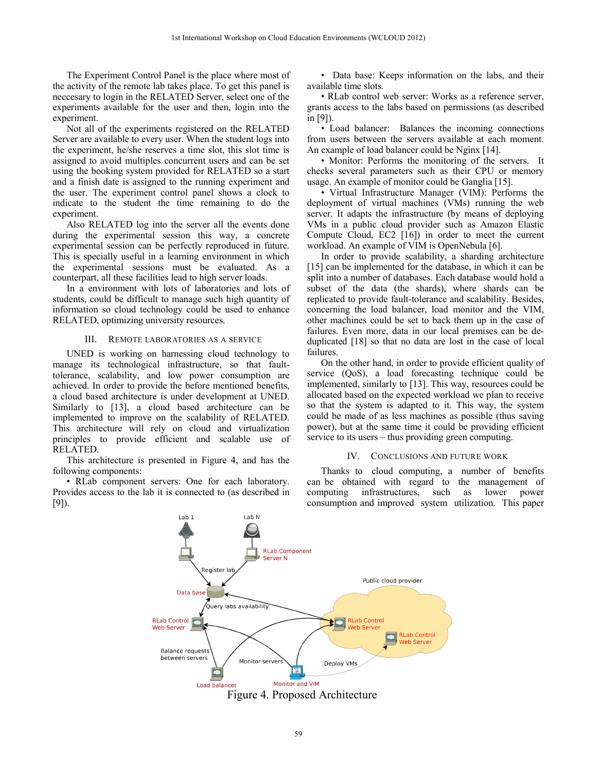The Experiment Control Panel is the place where most of the activity of the remote lab takes place. To get this panel is neccesary to login in the RELATED Server, select one of the experiments available for the user and then, login into the experiment.

Not all of the experiments registered on the RELATED Server are available to every user. When the student logs into the experiment, he/she reserves a time slot, this slot time is assigned to avoid multiples concurrent users and can be set using the booking system provided for RELATED so a start and a finish date is assigned to the running experiment and the user. The experiment control panel shows a clock to indicate to the student the time remaining to do the experiment.

Also RELATED log into the server all the events done during the experimental session this way, a concrete experimental session can be perfectly reproduced in future. This is specially useful in a learning environment in which the experimental sessions must be evaluated. As a counterpart, all these facilities lead to high server loads.

In a environment with lots of laboratories and lots of students, could be difficult to manage such high quantity of information so cloud technology could be used to enhance RELATED, optimizing university resources.

#### III. REMOTE LABORATORIES AS A SERVICE

UNED is working on harnessing cloud technology to manage its technological infrastructure, so that faulttolerance, scalability, and low power consumption are achieved. In order to provide the before mentioned benefits, a cloud based architecture is under development at UNED. Similarly to [13], a cloud based architecture can be implemented to improve on the scalability of RELATED. This architecture will rely on cloud and virtualization principles to provide efficient and scalable use of RELATED.

This architecture is presented in Figure 4, and has the following components:

• RLab component servers: One for each laboratory. Provides access to the lab it is connected to (as described in [9]).

• Data base: Keeps information on the labs, and their available time slots.

• RLab control web server: Works as a reference server, grants access to the labs based on permissions (as described in [9]).

• Load balancer: Balances the incoming connections from users between the servers available at each moment. An example of load balancer could be Nginx [14].

• Monitor: Performs the monitoring of the servers. It checks several parameters such as their CPU or memory usage. An example of monitor could be Ganglia [15].

• Virtual Infrastructure Manager (VIM): Performs the deployment of virtual machines (VMs) running the web server. It adapts the infrastructure (by means of deploying VMs in a public cloud provider such as Amazon Elastic Compute Cloud, EC2 [16]) in order to meet the current workload. An example of VIM is OpenNebula [6].

In order to provide scalability, a sharding architecture [15] can be implemented for the database, in which it can be split into a number of databases. Each database would hold a subset of the data (the shards), where shards can be replicated to provide fault-tolerance and scalability. Besides, concerning the load balancer, load monitor and the VIM, other machines could be set to back them up in the case of failures. Even more, data in our local premises can be deduplicated [18] so that no data are lost in the case of local failures.

On the other hand, in order to provide efficient quality of service (QoS), a load forecasting technique could be implemented, similarly to [13]. This way, resources could be allocated based on the expected workload we plan to receive so that the system is adapted to it. This way, the system could be made of as less machines as possible (thus saving power), but at the same time it could be providing efficient service to its users – thus providing green computing.

### IV. CONCLUSIONS AND FUTURE WORK

Thanks to cloud computing, a number of benefits can be obtained with regard to the management of computing infrastructures, such as lower power consumption and improved system utilization. This paper



Figure 4. Proposed Architecture